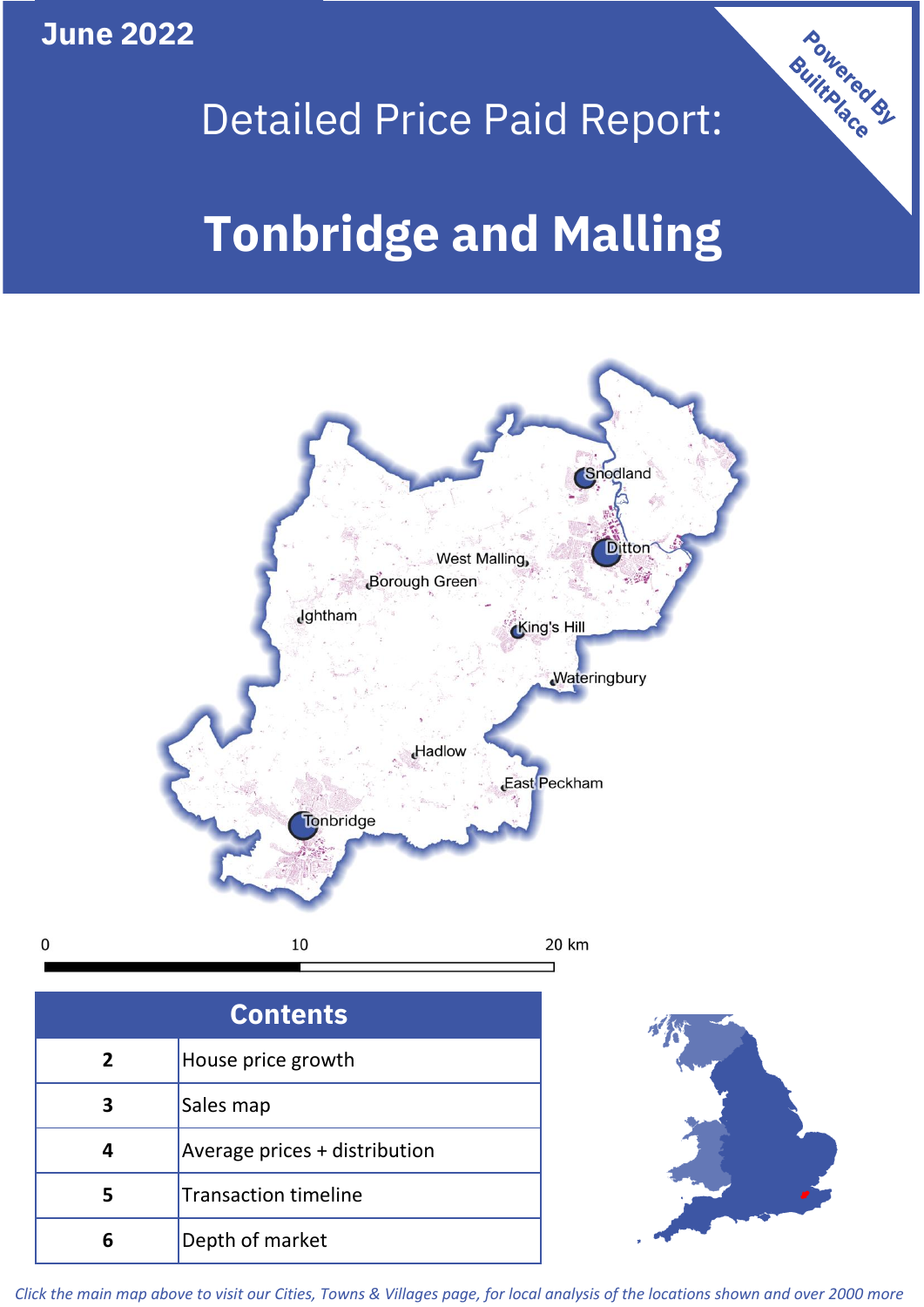**June 2022**

 $\mathbf 0$ 



## Detailed Price Paid Report:

# **Tonbridge and Malling**



| <b>Contents</b> |                               |  |  |
|-----------------|-------------------------------|--|--|
| $\overline{2}$  | House price growth            |  |  |
| 3               | Sales map                     |  |  |
| 4               | Average prices + distribution |  |  |
|                 | <b>Transaction timeline</b>   |  |  |
| 6               | Depth of market               |  |  |



*Click the main map above to visit our Cities, Towns & Villages page, for local analysis of the locations shown and over 2000 more*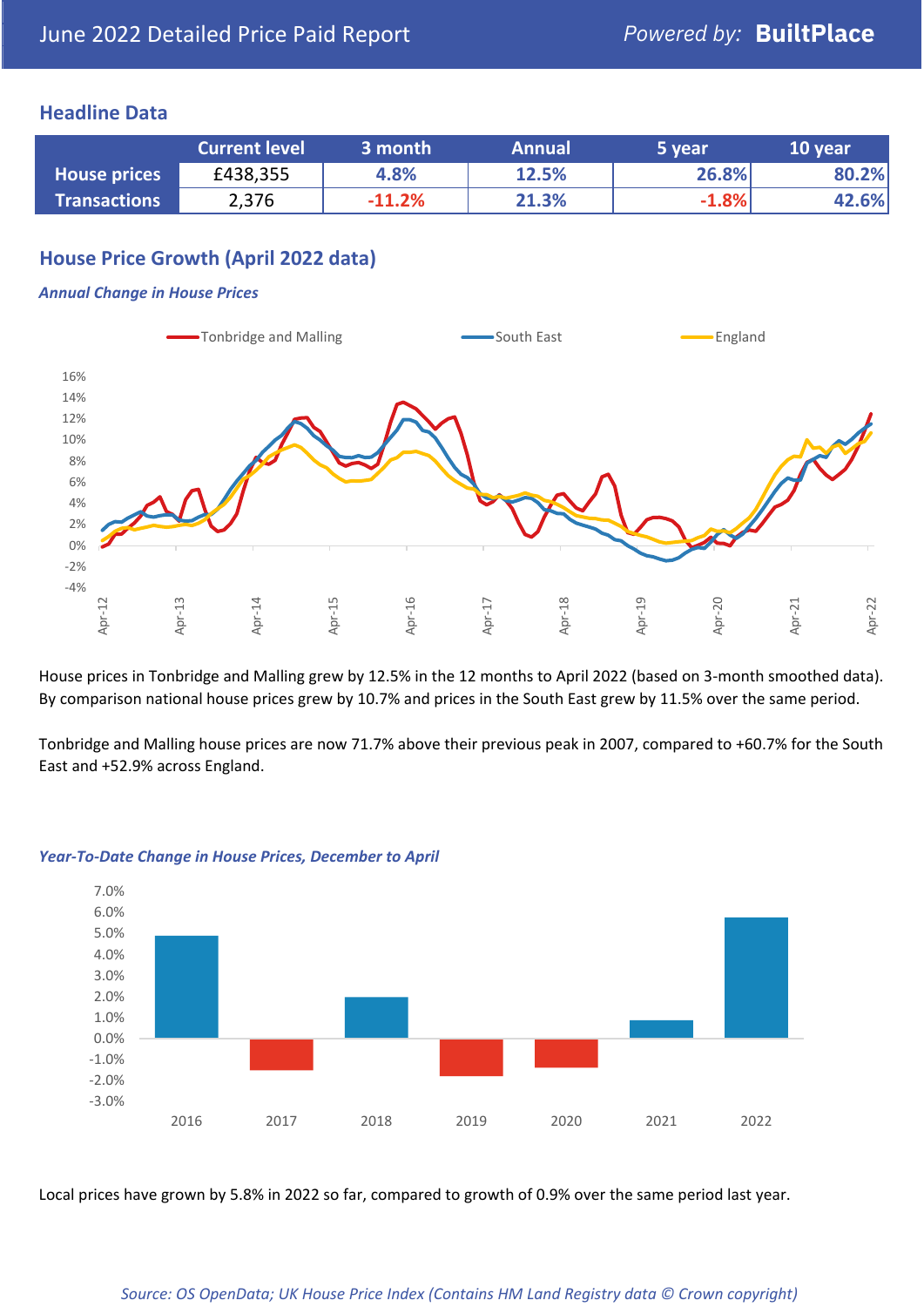### **Headline Data**

|                     | <b>Current level</b> | $\mathsf{\scriptstyle l}$ 3 month $\mathsf{\scriptstyle l}$ | <b>Annual</b> | 5 year  | 10 year |
|---------------------|----------------------|-------------------------------------------------------------|---------------|---------|---------|
| <b>House prices</b> | £438,355             | 4.8%                                                        | 12.5%         | 26.8%   | 80.2%   |
| <b>Transactions</b> | 2,376                | $-11.2%$                                                    | 21.3%         | $-1.8%$ | 42.6%   |

## **House Price Growth (April 2022 data)**

#### *Annual Change in House Prices*



House prices in Tonbridge and Malling grew by 12.5% in the 12 months to April 2022 (based on 3-month smoothed data). By comparison national house prices grew by 10.7% and prices in the South East grew by 11.5% over the same period.

Tonbridge and Malling house prices are now 71.7% above their previous peak in 2007, compared to +60.7% for the South East and +52.9% across England.



#### *Year-To-Date Change in House Prices, December to April*

Local prices have grown by 5.8% in 2022 so far, compared to growth of 0.9% over the same period last year.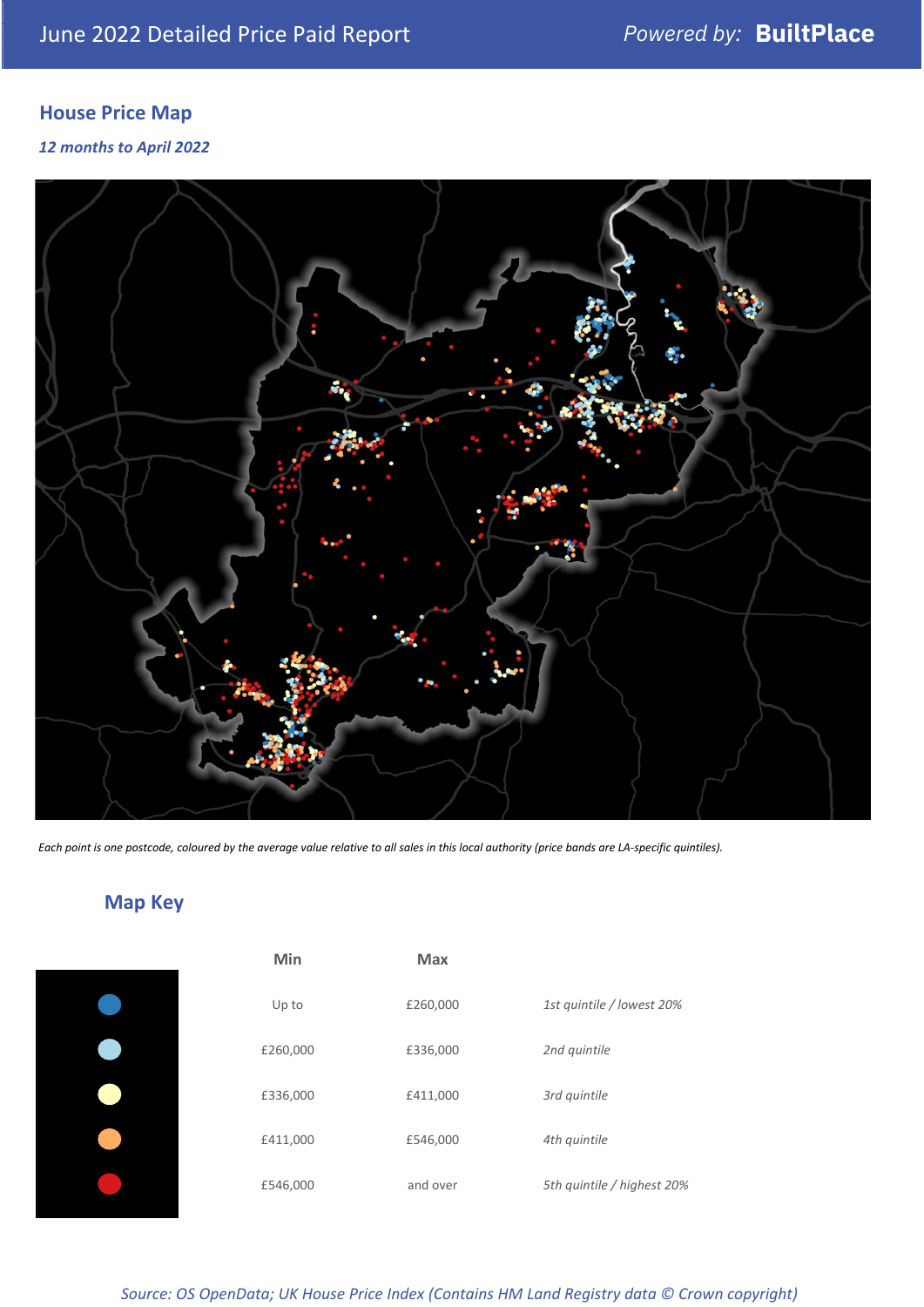## **House Price Map**

#### *12 months to April 2022*



*Each point is one postcode, coloured by the average value relative to all sales in this local authority (price bands are LA-specific quintiles).*

## **Map Key**

| Min      | <b>Max</b> |                            |
|----------|------------|----------------------------|
| Up to    | £260,000   | 1st quintile / lowest 20%  |
| £260,000 | £336,000   | 2nd quintile               |
| £336,000 | £411,000   | 3rd quintile               |
| £411,000 | £546,000   | 4th quintile               |
| £546,000 | and over   | 5th quintile / highest 20% |
|          |            |                            |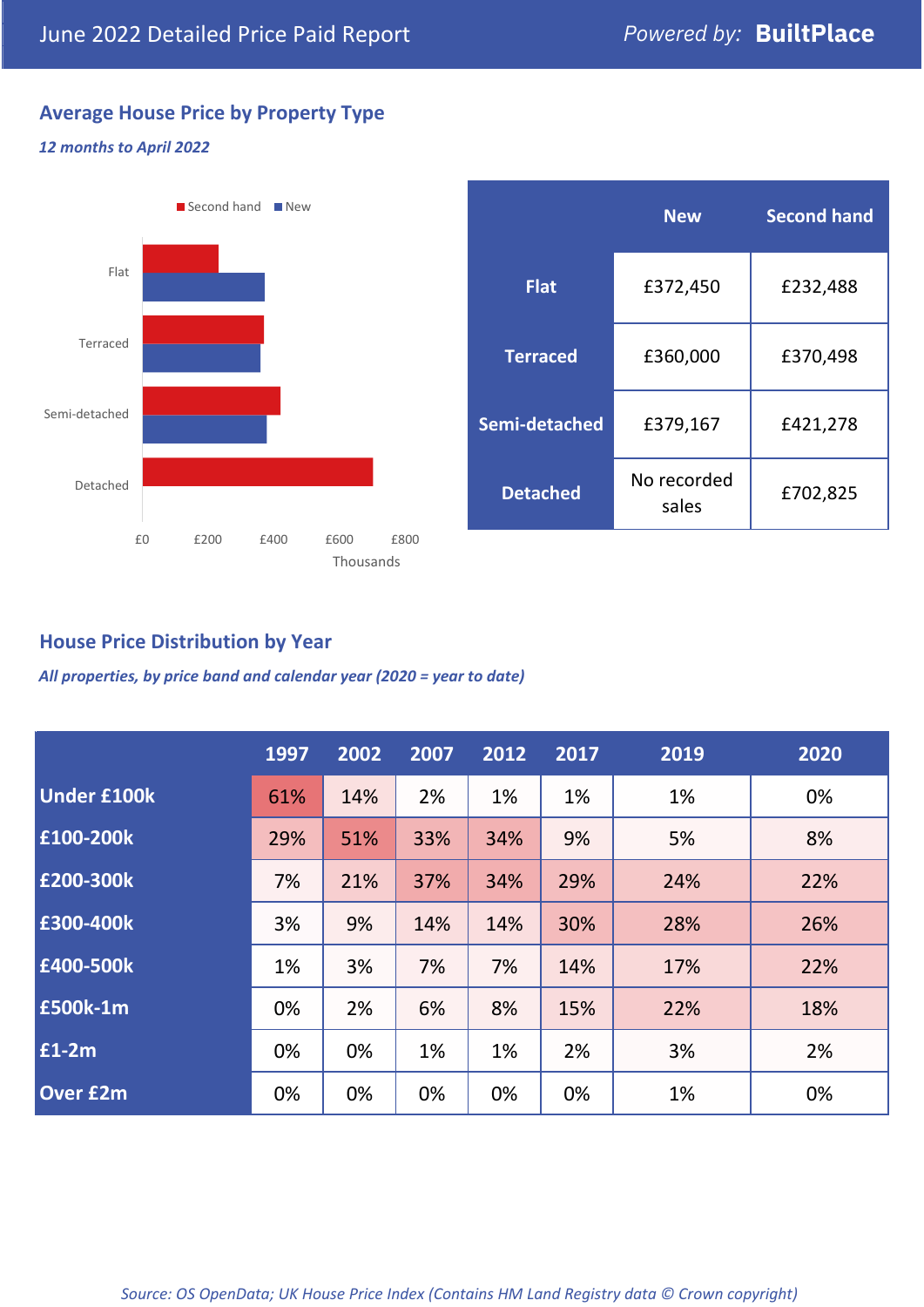## **Average House Price by Property Type**

#### *12 months to April 2022*



|                 | <b>New</b>           | <b>Second hand</b> |  |  |
|-----------------|----------------------|--------------------|--|--|
| <b>Flat</b>     | £372,450             | £232,488           |  |  |
| <b>Terraced</b> | £360,000             | £370,498           |  |  |
| Semi-detached   | £379,167             | £421,278           |  |  |
| <b>Detached</b> | No recorded<br>sales | £702,825           |  |  |

## **House Price Distribution by Year**

*All properties, by price band and calendar year (2020 = year to date)*

|                    | 1997 | 2002 | 2007 | 2012 | 2017 | 2019 | 2020 |
|--------------------|------|------|------|------|------|------|------|
| <b>Under £100k</b> | 61%  | 14%  | 2%   | 1%   | 1%   | 1%   | 0%   |
| £100-200k          | 29%  | 51%  | 33%  | 34%  | 9%   | 5%   | 8%   |
| E200-300k          | 7%   | 21%  | 37%  | 34%  | 29%  | 24%  | 22%  |
| £300-400k          | 3%   | 9%   | 14%  | 14%  | 30%  | 28%  | 26%  |
| £400-500k          | 1%   | 3%   | 7%   | 7%   | 14%  | 17%  | 22%  |
| <b>£500k-1m</b>    | 0%   | 2%   | 6%   | 8%   | 15%  | 22%  | 18%  |
| £1-2m              | 0%   | 0%   | 1%   | 1%   | 2%   | 3%   | 2%   |
| <b>Over £2m</b>    | 0%   | 0%   | 0%   | 0%   | 0%   | 1%   | 0%   |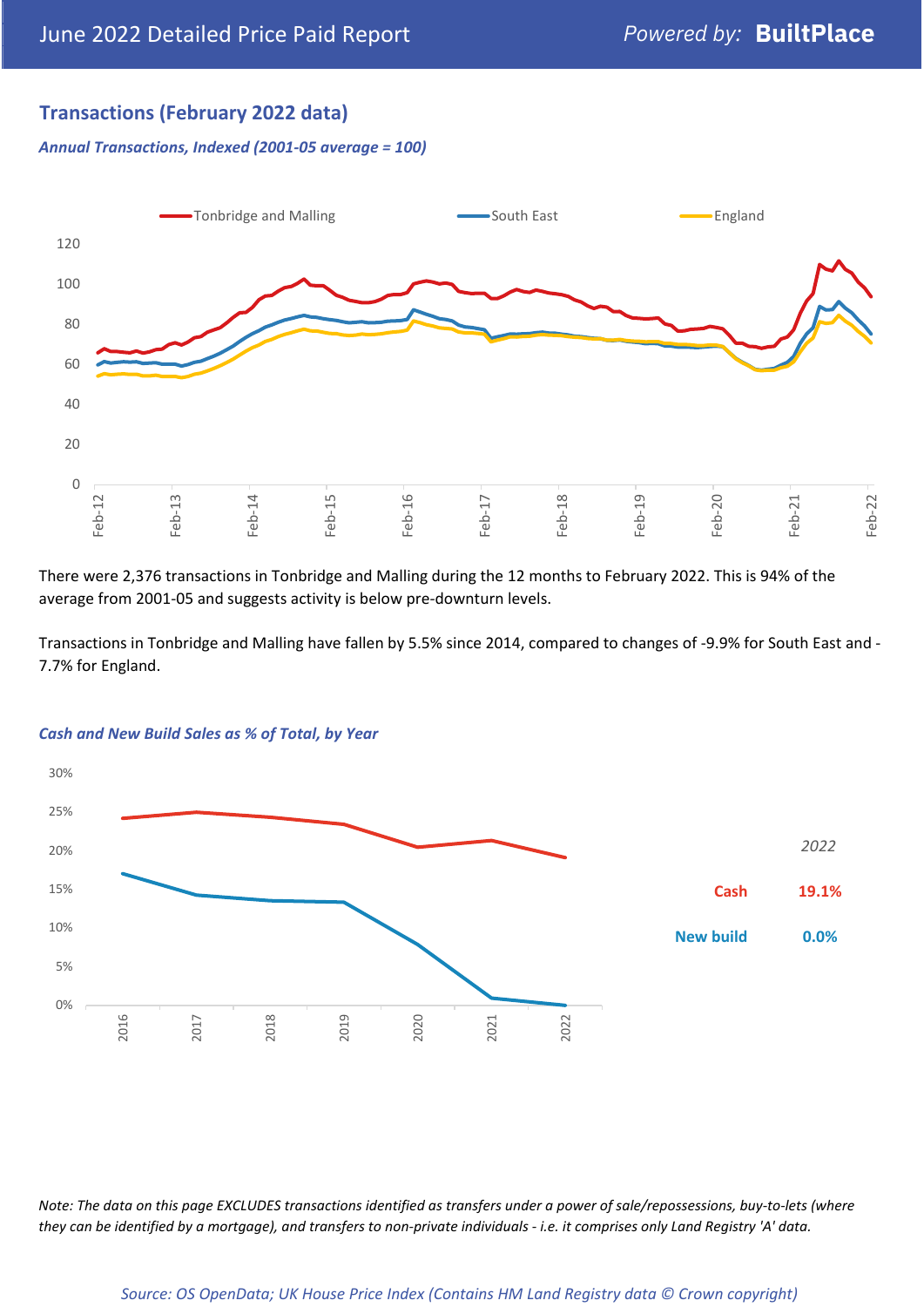## **Transactions (February 2022 data)**

*Annual Transactions, Indexed (2001-05 average = 100)*



There were 2,376 transactions in Tonbridge and Malling during the 12 months to February 2022. This is 94% of the average from 2001-05 and suggests activity is below pre-downturn levels.

Transactions in Tonbridge and Malling have fallen by 5.5% since 2014, compared to changes of -9.9% for South East and - 7.7% for England.



#### *Cash and New Build Sales as % of Total, by Year*

*Note: The data on this page EXCLUDES transactions identified as transfers under a power of sale/repossessions, buy-to-lets (where they can be identified by a mortgage), and transfers to non-private individuals - i.e. it comprises only Land Registry 'A' data.*